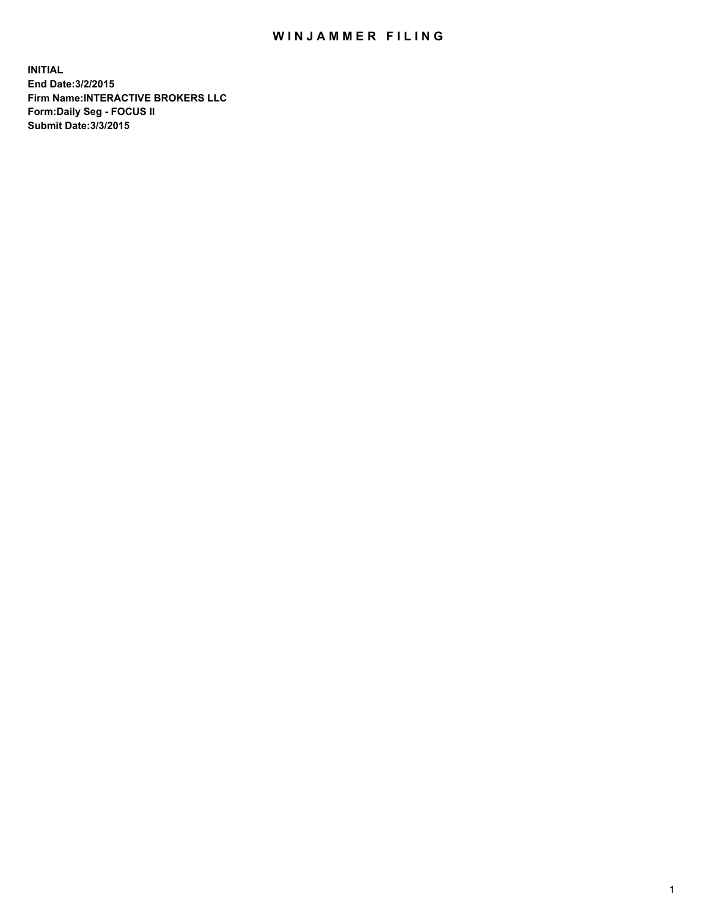## WIN JAMMER FILING

**INITIAL End Date:3/2/2015 Firm Name:INTERACTIVE BROKERS LLC Form:Daily Seg - FOCUS II Submit Date:3/3/2015**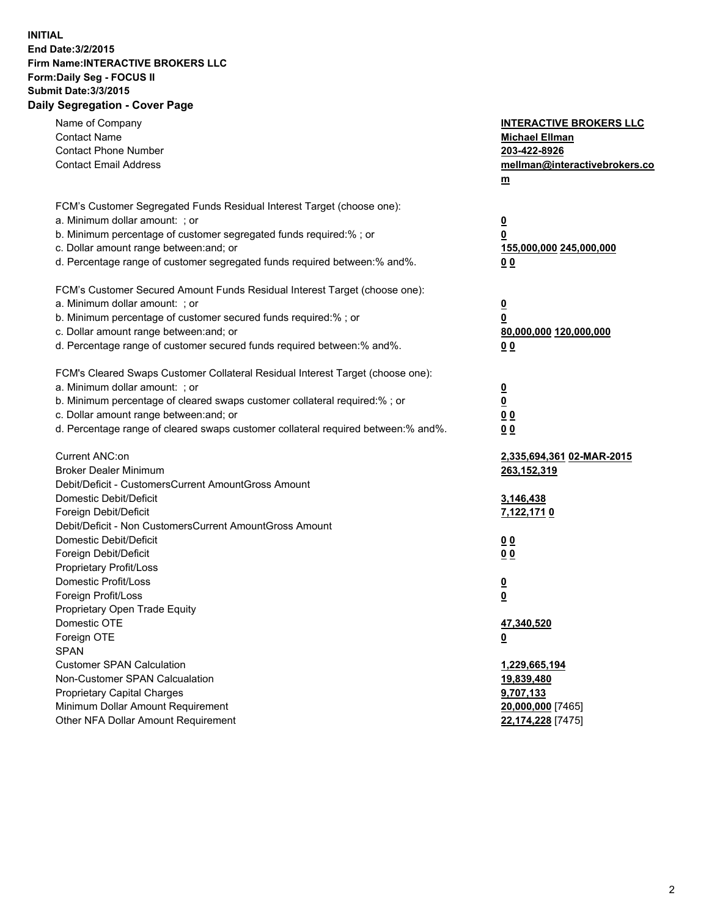## **INITIAL End Date:3/2/2015 Firm Name:INTERACTIVE BROKERS LLC Form:Daily Seg - FOCUS II Submit Date:3/3/2015 Daily Segregation - Cover Page**

| Name of Company<br><b>Contact Name</b><br><b>Contact Phone Number</b><br><b>Contact Email Address</b>                                                                                                                                                                                                                          | <b>INTERACTIVE BROKERS LLC</b><br><b>Michael Ellman</b><br>203-422-8926<br>mellman@interactivebrokers.co<br>$m$ |
|--------------------------------------------------------------------------------------------------------------------------------------------------------------------------------------------------------------------------------------------------------------------------------------------------------------------------------|-----------------------------------------------------------------------------------------------------------------|
| FCM's Customer Segregated Funds Residual Interest Target (choose one):<br>a. Minimum dollar amount: ; or<br>b. Minimum percentage of customer segregated funds required:% ; or<br>c. Dollar amount range between: and; or<br>d. Percentage range of customer segregated funds required between:% and%.                         | $\overline{\mathbf{0}}$<br>0<br>155,000,000 245,000,000<br>0 <sub>0</sub>                                       |
| FCM's Customer Secured Amount Funds Residual Interest Target (choose one):<br>a. Minimum dollar amount: ; or<br>b. Minimum percentage of customer secured funds required:% ; or<br>c. Dollar amount range between: and; or<br>d. Percentage range of customer secured funds required between:% and%.                           | $\overline{\mathbf{0}}$<br>0<br>80,000,000 120,000,000<br>0 <sub>0</sub>                                        |
| FCM's Cleared Swaps Customer Collateral Residual Interest Target (choose one):<br>a. Minimum dollar amount: ; or<br>b. Minimum percentage of cleared swaps customer collateral required:% ; or<br>c. Dollar amount range between: and; or<br>d. Percentage range of cleared swaps customer collateral required between:% and%. | $\overline{\mathbf{0}}$<br>$\overline{\mathbf{0}}$<br>0 <sub>0</sub><br>0 <sub>0</sub>                          |
| Current ANC:on<br><b>Broker Dealer Minimum</b><br>Debit/Deficit - CustomersCurrent AmountGross Amount<br>Domestic Debit/Deficit<br>Foreign Debit/Deficit                                                                                                                                                                       | 2,335,694,361 02-MAR-2015<br>263,152,319<br>3,146,438<br>7,122,1710                                             |
| Debit/Deficit - Non CustomersCurrent AmountGross Amount<br>Domestic Debit/Deficit<br>Foreign Debit/Deficit<br>Proprietary Profit/Loss<br>Domestic Profit/Loss<br>Foreign Profit/Loss                                                                                                                                           | 0 <sub>0</sub><br>0 <sub>0</sub><br>$\overline{\mathbf{0}}$<br>$\underline{\mathbf{0}}$                         |
| Proprietary Open Trade Equity<br>Domestic OTE<br>Foreign OTE<br><b>SPAN</b><br><b>Customer SPAN Calculation</b><br>Non-Customer SPAN Calcualation                                                                                                                                                                              | 47,340,520<br><u>0</u><br>1,229,665,194                                                                         |
| Proprietary Capital Charges<br>Minimum Dollar Amount Requirement<br>Other NFA Dollar Amount Requirement                                                                                                                                                                                                                        | <u>19,839,480</u><br>9,707,133<br>20,000,000 [7465]<br>22,174,228 [7475]                                        |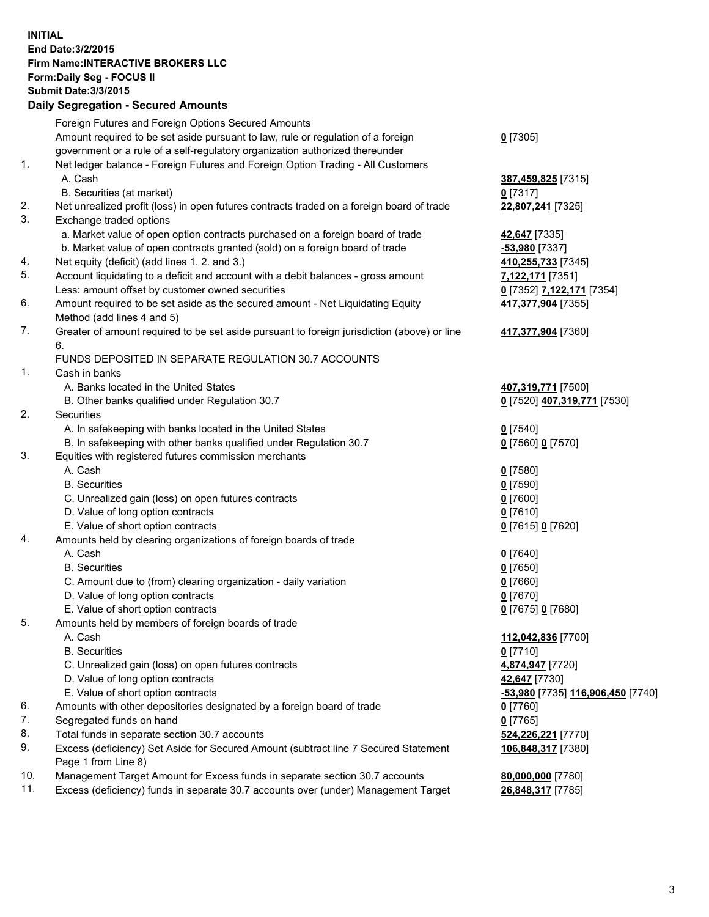## **INITIAL End Date:3/2/2015 Firm Name:INTERACTIVE BROKERS LLC Form:Daily Seg - FOCUS II Submit Date:3/3/2015 Daily Segregation - Secured Amounts**

|     | Foreign Futures and Foreign Options Secured Amounts                                         |                                  |
|-----|---------------------------------------------------------------------------------------------|----------------------------------|
|     | Amount required to be set aside pursuant to law, rule or regulation of a foreign            | $0$ [7305]                       |
|     | government or a rule of a self-regulatory organization authorized thereunder                |                                  |
| 1.  | Net ledger balance - Foreign Futures and Foreign Option Trading - All Customers             |                                  |
|     | A. Cash                                                                                     | 387,459,825 [7315]               |
|     | B. Securities (at market)                                                                   | 0 [7317]                         |
| 2.  | Net unrealized profit (loss) in open futures contracts traded on a foreign board of trade   | 22,807,241 [7325]                |
| 3.  | Exchange traded options                                                                     |                                  |
|     | a. Market value of open option contracts purchased on a foreign board of trade              | 42,647 [7335]                    |
|     | b. Market value of open contracts granted (sold) on a foreign board of trade                | -53,980 [7337]                   |
| 4.  | Net equity (deficit) (add lines 1.2. and 3.)                                                | 410,255,733 [7345]               |
| 5.  | Account liquidating to a deficit and account with a debit balances - gross amount           | 7,122,171 [7351]                 |
|     | Less: amount offset by customer owned securities                                            | 0 [7352] 7,122,171 [7354]        |
| 6.  | Amount required to be set aside as the secured amount - Net Liquidating Equity              | 417,377,904 [7355]               |
|     | Method (add lines 4 and 5)                                                                  |                                  |
| 7.  | Greater of amount required to be set aside pursuant to foreign jurisdiction (above) or line | 417,377,904 [7360]               |
|     | 6.                                                                                          |                                  |
|     | FUNDS DEPOSITED IN SEPARATE REGULATION 30.7 ACCOUNTS                                        |                                  |
| 1.  | Cash in banks                                                                               |                                  |
|     | A. Banks located in the United States                                                       | 407,319,771 [7500]               |
|     | B. Other banks qualified under Regulation 30.7                                              | 0 [7520] 407,319,771 [7530]      |
| 2.  | Securities                                                                                  |                                  |
|     | A. In safekeeping with banks located in the United States                                   | $0$ [7540]                       |
|     | B. In safekeeping with other banks qualified under Regulation 30.7                          | 0 [7560] 0 [7570]                |
| 3.  | Equities with registered futures commission merchants                                       |                                  |
|     | A. Cash                                                                                     | $0$ [7580]                       |
|     | <b>B.</b> Securities                                                                        | $0$ [7590]                       |
|     | C. Unrealized gain (loss) on open futures contracts                                         | $0$ [7600]                       |
|     | D. Value of long option contracts                                                           | $0$ [7610]                       |
|     | E. Value of short option contracts                                                          | 0 [7615] 0 [7620]                |
| 4.  | Amounts held by clearing organizations of foreign boards of trade                           |                                  |
|     | A. Cash                                                                                     | $0$ [7640]                       |
|     | <b>B.</b> Securities                                                                        | $0$ [7650]                       |
|     | C. Amount due to (from) clearing organization - daily variation                             | $0$ [7660]                       |
|     | D. Value of long option contracts                                                           | $0$ [7670]                       |
|     | E. Value of short option contracts                                                          | 0 [7675] 0 [7680]                |
| 5.  | Amounts held by members of foreign boards of trade                                          |                                  |
|     | A. Cash                                                                                     | 112,042,836 [7700]               |
|     | <b>B.</b> Securities                                                                        | $0$ [7710]                       |
|     | C. Unrealized gain (loss) on open futures contracts                                         | 4,874,947 [7720]                 |
|     | D. Value of long option contracts                                                           | 42,647 [7730]                    |
|     | E. Value of short option contracts                                                          | 53,980 [7735] 116,906,450 [7740] |
| 6.  | Amounts with other depositories designated by a foreign board of trade                      | $0$ [7760]                       |
| 7.  | Segregated funds on hand                                                                    | $0$ [7765]                       |
| 8.  | Total funds in separate section 30.7 accounts                                               | 524,226,221 [7770]               |
| 9.  | Excess (deficiency) Set Aside for Secured Amount (subtract line 7 Secured Statement         | 106,848,317 [7380]               |
|     | Page 1 from Line 8)                                                                         |                                  |
| 10. | Management Target Amount for Excess funds in separate section 30.7 accounts                 | 80,000,000 [7780]                |
| 11. | Excess (deficiency) funds in separate 30.7 accounts over (under) Management Target          | 26,848,317 [7785]                |
|     |                                                                                             |                                  |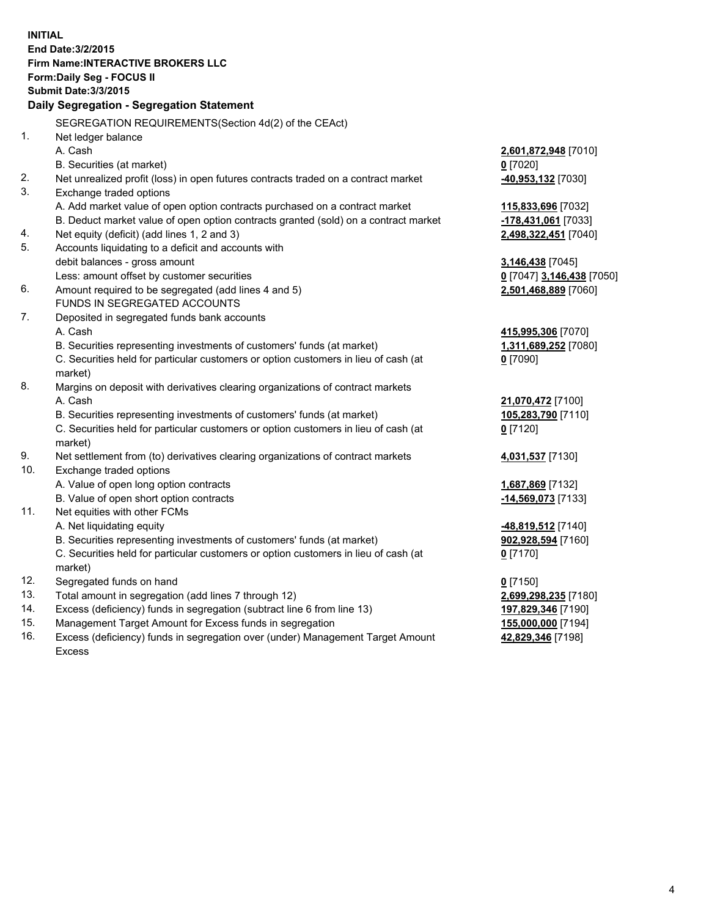**INITIAL End Date:3/2/2015 Firm Name:INTERACTIVE BROKERS LLC Form:Daily Seg - FOCUS II Submit Date:3/3/2015 Daily Segregation - Segregation Statement** SEGREGATION REQUIREMENTS(Section 4d(2) of the CEAct) 1. Net ledger balance A. Cash **2,601,872,948** [7010] B. Securities (at market) **0** [7020] 2. Net unrealized profit (loss) in open futures contracts traded on a contract market **-40,953,132** [7030] 3. Exchange traded options A. Add market value of open option contracts purchased on a contract market **115,833,696** [7032] B. Deduct market value of open option contracts granted (sold) on a contract market **-178,431,061** [7033] 4. Net equity (deficit) (add lines 1, 2 and 3) **2,498,322,451** [7040] 5. Accounts liquidating to a deficit and accounts with debit balances - gross amount **3,146,438** [7045] Less: amount offset by customer securities **0** [7047] **3,146,438** [7050] 6. Amount required to be segregated (add lines 4 and 5) **2,501,468,889** [7060] FUNDS IN SEGREGATED ACCOUNTS 7. Deposited in segregated funds bank accounts A. Cash **415,995,306** [7070] B. Securities representing investments of customers' funds (at market) **1,311,689,252** [7080] C. Securities held for particular customers or option customers in lieu of cash (at market) **0** [7090] 8. Margins on deposit with derivatives clearing organizations of contract markets A. Cash **21,070,472** [7100] B. Securities representing investments of customers' funds (at market) **105,283,790** [7110] C. Securities held for particular customers or option customers in lieu of cash (at market) **0** [7120] 9. Net settlement from (to) derivatives clearing organizations of contract markets **4,031,537** [7130] 10. Exchange traded options A. Value of open long option contracts **1,687,869** [7132] B. Value of open short option contracts **-14,569,073** [7133] 11. Net equities with other FCMs A. Net liquidating equity **-48,819,512** [7140] B. Securities representing investments of customers' funds (at market) **902,928,594** [7160] C. Securities held for particular customers or option customers in lieu of cash (at market) **0** [7170] 12. Segregated funds on hand **0** [7150] 13. Total amount in segregation (add lines 7 through 12) **2,699,298,235** [7180] 14. Excess (deficiency) funds in segregation (subtract line 6 from line 13) **197,829,346** [7190] 15. Management Target Amount for Excess funds in segregation **155,000,000** [7194]

16. Excess (deficiency) funds in segregation over (under) Management Target Amount Excess

**42,829,346** [7198]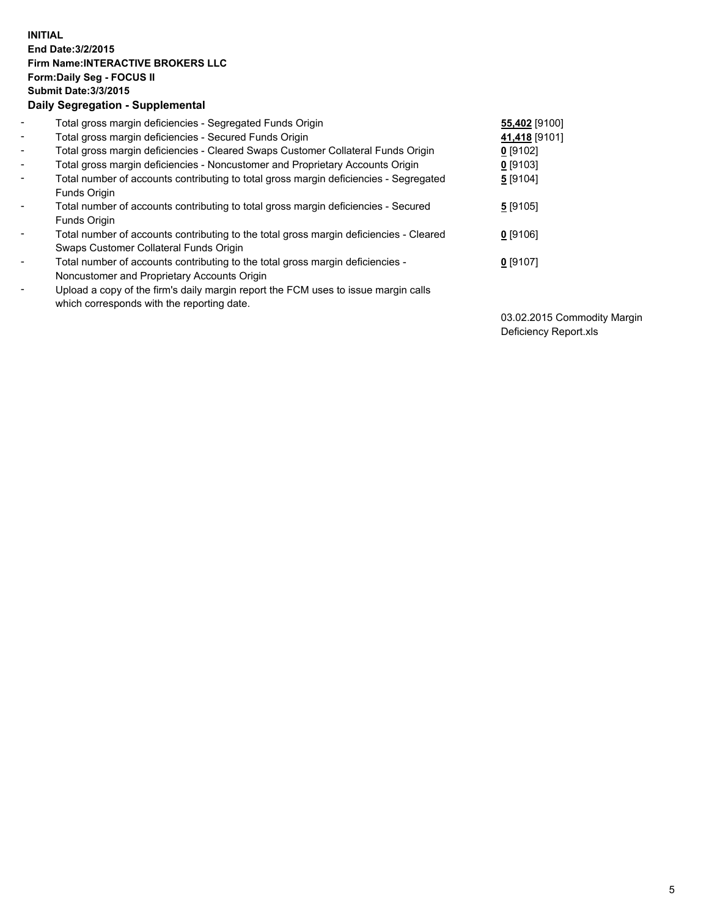## **INITIAL End Date:3/2/2015 Firm Name:INTERACTIVE BROKERS LLC Form:Daily Seg - FOCUS II Submit Date:3/3/2015 Daily Segregation - Supplemental**

| $\blacksquare$           | Total gross margin deficiencies - Segregated Funds Origin                              | 55,402 [9100] |
|--------------------------|----------------------------------------------------------------------------------------|---------------|
| $\sim$                   | Total gross margin deficiencies - Secured Funds Origin                                 | 41,418 [9101] |
| $\blacksquare$           | Total gross margin deficiencies - Cleared Swaps Customer Collateral Funds Origin       | $0$ [9102]    |
| $\blacksquare$           | Total gross margin deficiencies - Noncustomer and Proprietary Accounts Origin          | $0$ [9103]    |
| $\blacksquare$           | Total number of accounts contributing to total gross margin deficiencies - Segregated  | 5 [9104]      |
|                          | <b>Funds Origin</b>                                                                    |               |
| $\blacksquare$           | Total number of accounts contributing to total gross margin deficiencies - Secured     | 5 [9105]      |
|                          | <b>Funds Origin</b>                                                                    |               |
| $\blacksquare$           | Total number of accounts contributing to the total gross margin deficiencies - Cleared | $0$ [9106]    |
|                          | Swaps Customer Collateral Funds Origin                                                 |               |
| ۰                        | Total number of accounts contributing to the total gross margin deficiencies -         | $0$ [9107]    |
|                          | Noncustomer and Proprietary Accounts Origin                                            |               |
| $\overline{\phantom{0}}$ | Upload a copy of the firm's daily margin report the FCM uses to issue margin calls     |               |
|                          | which corresponds with the reporting date.                                             |               |

03.02.2015 Commodity Margin Deficiency Report.xls